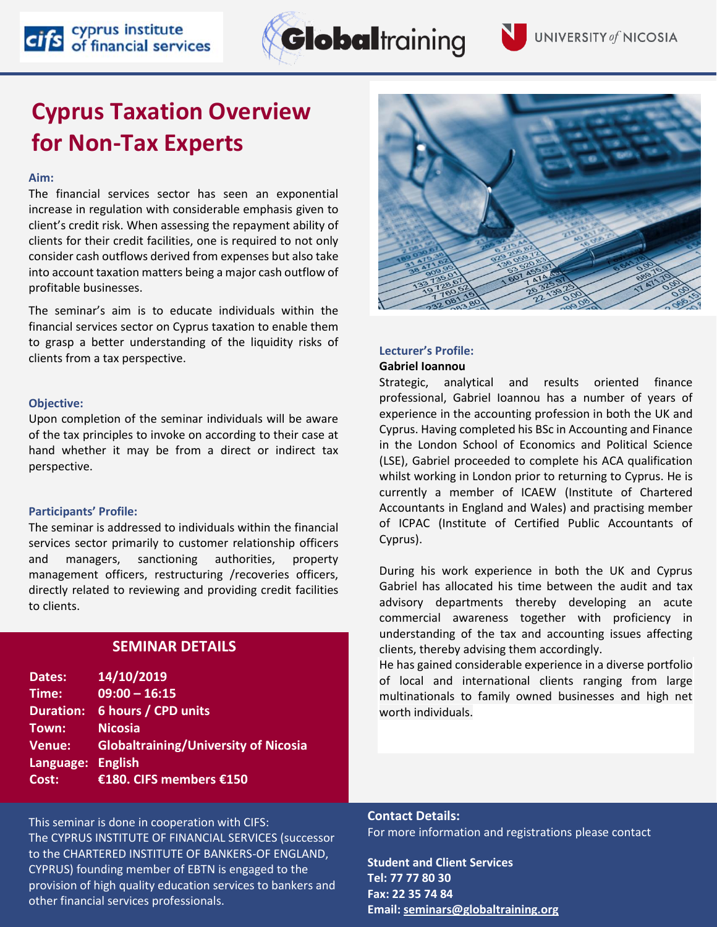# **Cyprus Taxation Overview for Non-Tax Experts**

cifs cyprus institute<br>cifs of financial services

## **Aim:**

The financial services sector has seen an exponential increase in regulation with considerable emphasis given to client's credit risk. When assessing the repayment ability of clients for their credit facilities, one is required to not only consider cash outflows derived from expenses but also take into account taxation matters being a major cash outflow of profitable businesses.

The seminar's aim is to educate individuals within the financial services sector on Cyprus taxation to enable them to grasp a better understanding of the liquidity risks of clients from a tax perspective.

## **Objective:**

Upon completion of the seminar individuals will be aware of the tax principles to invoke on according to their case at hand whether it may be from a direct or indirect tax perspective.

#### **Participants' Profile:**

The seminar is addressed to individuals within the financial services sector primarily to customer relationship officers and managers, sanctioning authorities, property management officers, restructuring /recoveries officers, directly related to reviewing and providing credit facilities to clients.

## **SEMINAR DETAILS**

| Dates:            | 14/10/2019                                  |
|-------------------|---------------------------------------------|
| Time:             | $09:00 - 16:15$                             |
| <b>Duration:</b>  | 6 hours / CPD units                         |
| Town:             | <b>Nicosia</b>                              |
| Venue:            | <b>Globaltraining/University of Nicosia</b> |
| Language: English |                                             |
| Cost:             | €180. CIFS members €150                     |

This seminar is done in cooperation with CIFS: The CYPRUS INSTITUTE OF FINANCIAL SERVICES (successor to the CHARTERED INSTITUTE OF BANKERS-OF ENGLAND, CYPRUS) founding member of EBTN is engaged to the provision of high quality education services to bankers and other financial services professionals.

## **Gabriel Ioannou**

**Lecturer's Profile:**

Strategic, analytical and results oriented finance professional, Gabriel Ioannou has a number of years of experience in the accounting profession in both the UK and Cyprus. Having completed his BSc in Accounting and Finance in the London School of Economics and Political Science (LSE), Gabriel proceeded to complete his ACA qualification whilst working in London prior to returning to Cyprus. He is currently a member of ICAEW (Institute of Chartered Accountants in England and Wales) and practising member of ICPAC (Institute of Certified Public Accountants of Cyprus).

During his work experience in both the UK and Cyprus Gabriel has allocated his time between the audit and tax advisory departments thereby developing an acute commercial awareness together with proficiency in understanding of the tax and accounting issues affecting clients, thereby advising them accordingly.

He has gained considerable experience in a diverse portfolio of local and international clients ranging from large multinationals to family owned businesses and high net worth individuals.

**Contact Details:** For more information and registrations please contact

**Student and Client Services Tel: 77 77 80 30 Fax: 22 35 74 84 Email[: seminars@globaltraining.org](mailto:panayiotou.m@globaltraining.org)**